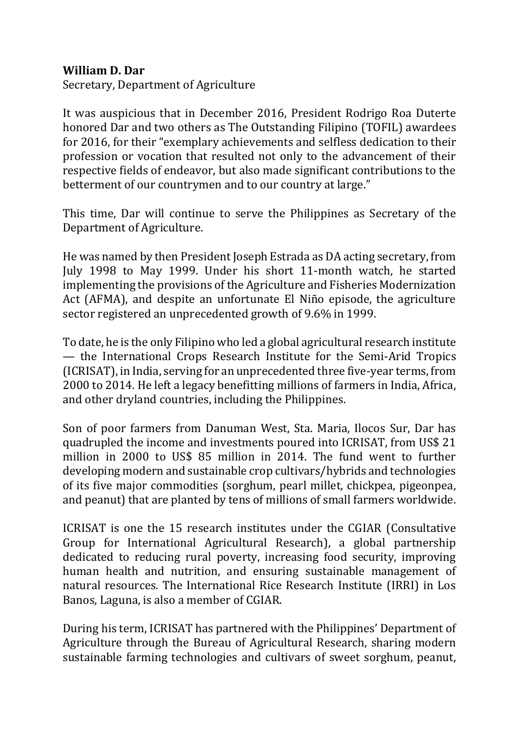## **William D. Dar**

Secretary, Department of Agriculture

It was auspicious that in December 2016, President Rodrigo Roa Duterte honored Dar and two others as The Outstanding Filipino (TOFIL) awardees for 2016, for their "exemplary achievements and selfless dedication to their profession or vocation that resulted not only to the advancement of their respective fields of endeavor, but also made significant contributions to the betterment of our countrymen and to our country at large."

This time, Dar will continue to serve the Philippines as Secretary of the Department of Agriculture.

He was named by then President Joseph Estrada as DA acting secretary, from July 1998 to May 1999. Under his short 11-month watch, he started implementing the provisions of the Agriculture and Fisheries Modernization Act (AFMA), and despite an unfortunate El Niño episode, the agriculture sector registered an unprecedented growth of 9.6% in 1999.

To date, he is the only Filipino who led a global agricultural research institute — the International Crops Research Institute for the Semi-Arid Tropics (ICRISAT), in India, serving for an unprecedented three five-year terms, from 2000 to 2014. He left a legacy benefitting millions of farmers in India, Africa, and other dryland countries, including the Philippines.

Son of poor farmers from Danuman West, Sta. Maria, Ilocos Sur, Dar has quadrupled the income and investments poured into ICRISAT, from US\$ 21 million in 2000 to US\$ 85 million in 2014. The fund went to further developing modern and sustainable crop cultivars/hybrids and technologies of its five major commodities (sorghum, pearl millet, chickpea, pigeonpea, and peanut) that are planted by tens of millions of small farmers worldwide.

ICRISAT is one the 15 research institutes under the CGIAR (Consultative Group for International Agricultural Research), a global partnership dedicated to reducing rural poverty, increasing food security, improving human health and nutrition, and ensuring sustainable management of natural resources. The International Rice Research Institute (IRRI) in Los Banos, Laguna, is also a member of CGIAR.

During his term, ICRISAT has partnered with the Philippines' Department of Agriculture through the Bureau of Agricultural Research, sharing modern sustainable farming technologies and cultivars of sweet sorghum, peanut,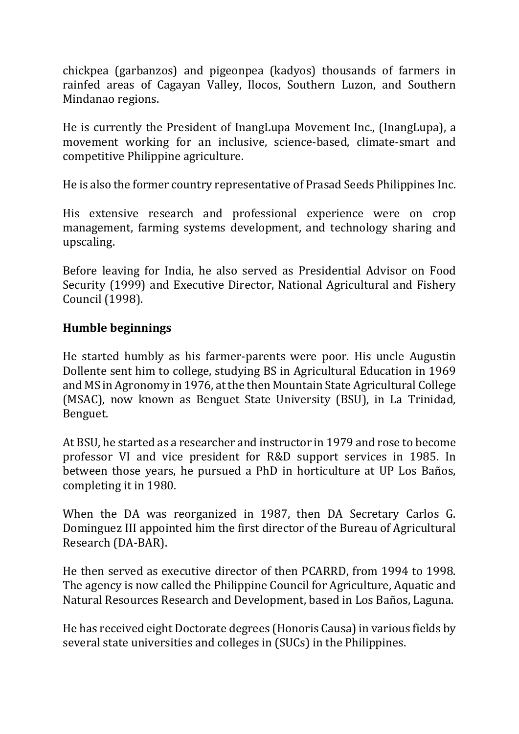chickpea (garbanzos) and pigeonpea (kadyos) thousands of farmers in rainfed areas of Cagayan Valley, Ilocos, Southern Luzon, and Southern Mindanao regions.

He is currently the President of InangLupa Movement Inc., (InangLupa), a movement working for an inclusive, science-based, climate-smart and competitive Philippine agriculture.

He is also the former country representative of Prasad Seeds Philippines Inc.

His extensive research and professional experience were on crop management, farming systems development, and technology sharing and upscaling.

Before leaving for India, he also served as Presidential Advisor on Food Security (1999) and Executive Director, National Agricultural and Fishery Council (1998).

## **Humble beginnings**

He started humbly as his farmer-parents were poor. His uncle Augustin Dollente sent him to college, studying BS in Agricultural Education in 1969 and MS in Agronomy in 1976, at the then Mountain State Agricultural College (MSAC), now known as Benguet State University (BSU), in La Trinidad, Benguet.

At BSU, he started as a researcher and instructor in 1979 and rose to become professor VI and vice president for R&D support services in 1985. In between those years, he pursued a PhD in horticulture at UP Los Baños, completing it in 1980.

When the DA was reorganized in 1987, then DA Secretary Carlos G. Dominguez III appointed him the first director of the Bureau of Agricultural Research (DA-BAR).

He then served as executive director of then PCARRD, from 1994 to 1998. The agency is now called the Philippine Council for Agriculture, Aquatic and Natural Resources Research and Development, based in Los Baños, Laguna.

He has received eight Doctorate degrees (Honoris Causa) in various fields by several state universities and colleges in (SUCs) in the Philippines.